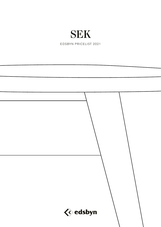## SEK

EDSBYN PRICELIST 2021

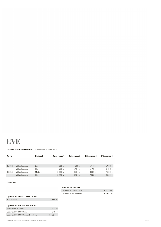## **EVE**

**DEFAULT PERFORMANCE** Swivel base in black nylon.

|                 | <b>Backrest</b> | Price range 1 | Price range 2 | Price range 3 | Price range 4 |
|-----------------|-----------------|---------------|---------------|---------------|---------------|
|                 |                 |               |               |               |               |
|                 |                 |               |               |               |               |
| without armrest | Low             | 4 008 kr      | 4 803 kr      | 5 146 kr      | 5768 kr       |
| without armrest | High            | 4 235 kr      | 5 104 kr      | 5479 kr       | 6 156 kr      |
| without armrest | Medium          | 5 689 kr      | 6554 kr       | 6932 kr       | 7 609 kr      |
| without armrest | High            | 5986 kr       | 6924 kr       | 7 333 kr      | 8 0 6 4 kr    |
|                 |                 | $\checkmark$  |               |               |               |

## **OPTIONS**

|                                     |             | <b>Options for EVE 300</b> |             |
|-------------------------------------|-------------|----------------------------|-------------|
|                                     |             | Headrest in chosen fabric  | $+1226$ kr  |
|                                     |             | Headrest in black leather  | $+ 1657$ kr |
| Options for 19 508/19 509/19 510    |             |                            |             |
| With armrest                        | + 869 kr    |                            |             |
|                                     |             |                            |             |
| Options for EVE 200 och EVE 300     |             |                            |             |
| Swivel base in chrome               | + 334 kr    |                            |             |
| Seat height 620-880mm               | $+318$ kr   |                            |             |
| Seat height 620-880mm with footring | $+ 1221$ kr |                            |             |

APPROXIMATE PRICES SEK – EXCLUDING VAT – VALID FROM 2021-02-01